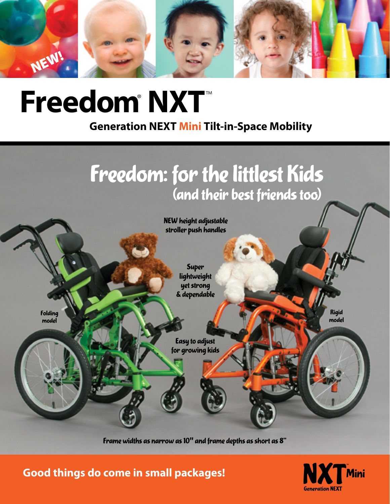

# **Freedom**® **NXT**™

**Generation NEXT Mini Tilt-in-Space Mobility**



Frame widths as narrow as 10**"** and frame depths as short as 8"

**Good things do come in small packages!**